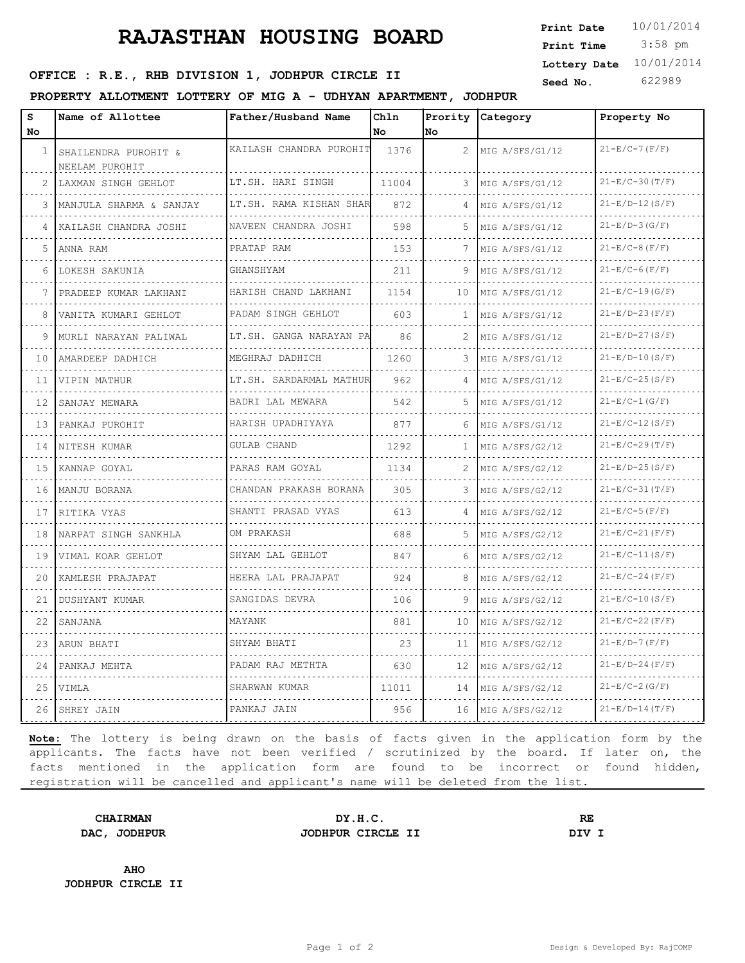## **RAJASTHAN HOUSING BOARD**

 3:58 pm **Print Date Print Time Lottery Date** 10/01/2014

## **SEED OFFICE : R.E., RHB DIVISION 1, JODHPUR CIRCLE II** Seed No. 622989

### **PROPERTY ALLOTMENT LOTTERY OF MIG A - UDHYAN APARTMENT, JODHPUR**

| S   | Name of Allottee                       | Father/Husband Name          | Chln  | Prority              | Category             | Property No          |
|-----|----------------------------------------|------------------------------|-------|----------------------|----------------------|----------------------|
| No. |                                        |                              | No    | No                   |                      |                      |
| 1   | SHAILENDRA PUROHIT &<br>NEELAM PUROHIT | KAILASH CHANDRA PUROHIT      | 1376  | $\mathbf{2}^{\circ}$ | MIG A/SFS/G1/12      | $21-E/C-7(F/F)$      |
| 2   | LAXMAN SINGH GEHLOT                    | LT.SH. HARI SINGH<br>.       | 11004 | 3                    | MIG A/SFS/G1/12      | $21-E/C-30(T/F)$     |
| 3   | MANJULA SHARMA & SANJAY                | LT.SH. RAMA KISHAN SHAR      | 872   | 4                    | MIG A/SFS/G1/12      | $21-E/D-12(S/F)$     |
| 4   | KAILASH CHANDRA JOSHI                  | NAVEEN CHANDRA JOSHI         | 598   | 5.                   | MIG A/SFS/G1/12      | $21-E/D-3(G/F)$      |
| 5.  | ANNA RAM                               | PRATAP RAM                   | 153   | 7                    | MIG A/SFS/G1/12      | $21 - E/C - 8(F/F)$  |
| 6   | LOKESH SAKUNIA<br>.                    | GHANSHYAM                    | 211   | 9                    | MIG A/SFS/G1/12<br>. | $21 - E/C - 6(F/F)$  |
|     | PRADEEP KUMAR LAKHANI                  | HARISH CHAND LAKHANI         | 1154  | 10                   | MIG A/SFS/G1/12      | $21-E/C-19(G/F)$     |
| 8   | VANITA KUMARI GEHLOT                   | PADAM SINGH GEHLOT           | 603   | 1                    | MIG A/SFS/G1/12      | $21-E/D-23(F/F)$     |
| 9   | MURLI NARAYAN PALIWAL                  | LT.SH. GANGA NARAYAN PA<br>. | 86    | 2                    | MIG A/SFS/G1/12      | $21-E/D-27(S/F)$     |
| 10  | AMARDEEP DADHICH                       | MEGHRAJ DADHICH              | 1260  | 3                    | MIG A/SFS/G1/12      | $21-E/D-10(S/F)$     |
| 11  | VIPIN MATHUR                           | LT.SH. SARDARMAL MATHUR      | 962   | 4                    | MIG A/SFS/G1/12      | $21-E/C-25(S/F)$     |
| 12  | SANJAY MEWARA                          | BADRI LAL MEWARA<br>.        | 542   | 5.                   | MIG A/SFS/G1/12<br>. | $21-E/C-1(G/F)$      |
| 13  | PANKAJ PUROHIT                         | HARISH UPADHIYAYA<br>.       | 877   | 6                    | MIG A/SFS/G1/12<br>. | $21-E/C-12(S/F)$     |
| 14  | NITESH KUMAR                           | GULAB CHAND                  | 1292  | 1                    | MIG A/SFS/G2/12      | $21-E/C-29(T/F)$     |
| 15  | KANNAP GOYAL                           | PARAS RAM GOYAL              | 1134  | 2                    | MIG A/SFS/G2/12      | $21-E/D-25(S/F)$     |
| 16  | MANJU BORANA                           | CHANDAN PRAKASH BORANA       | 305   | 3                    | MIG A/SFS/G2/12      | $21-E/C-31(T/F)$     |
| 17  | RITIKA VYAS                            | SHANTI PRASAD VYAS           | 613   | 4                    | MIG A/SFS/G2/12      | $21-E/C-5(F/F)$      |
| 18  | NARPAT SINGH SANKHLA                   | OM PRAKASH                   | 688   | 5                    | MIG A/SFS/G2/12      | $21-E/C-21(F/F)$     |
| 19  | VIMAL KOAR GEHLOT                      | SHYAM LAL GEHLOT             | 847   | 6                    | MIG A/SFS/G2/12      | $21-E/C-11(S/F)$     |
| 20  | KAMLESH PRAJAPAT                       | HEERA LAL PRAJAPAT           | 924   | 8                    | MIG A/SFS/G2/12      | $21-E/C-24(F/F)$     |
| 21  | DUSHYANT KUMAR                         | SANGIDAS DEVRA               | 106   | 9                    | MIG A/SFS/G2/12      | $21-E/C-10(S/F)$     |
| 22  | SANJANA                                | MAYANK                       | 881   | 10                   | MIG A/SFS/G2/12      | $21-E/C-22(F/F)$     |
| 23  | ARUN BHATI                             | SHYAM BHATI                  | 23    | 11                   | MIG A/SFS/G2/12      | $21-E/D-7$ ( $F/F$ ) |
| 24  | PANKAJ MEHTA                           | PADAM RAJ METHTA             | 630   | 12                   | MIG A/SFS/G2/12      | $21-E/D-24(F/F)$     |
| 25  | VIMLA                                  | SHARWAN KUMAR<br>.           | 11011 | 14                   | MIG A/SFS/G2/12<br>. | $21-E/C-2(G/F)$      |
| 26  | SHREY JAIN                             | PANKAJ JAIN                  | 956   | 16                   | MIG A/SFS/G2/12      | $21-E/D-14(T/F)$     |

**Note:** The lottery is being drawn on the basis of facts given in the application form by the applicants. The facts have not been verified / scrutinized by the board. If later on, the facts mentioned in the application form are found to be incorrect or found hidden, registration will be cancelled and applicant's name will be deleted from the list.

**CHAIRMAN DY.H.C. RE DAC, JODHPUR JODHPUR CIRCLE II DIV I**

**AHO JODHPUR CIRCLE II**